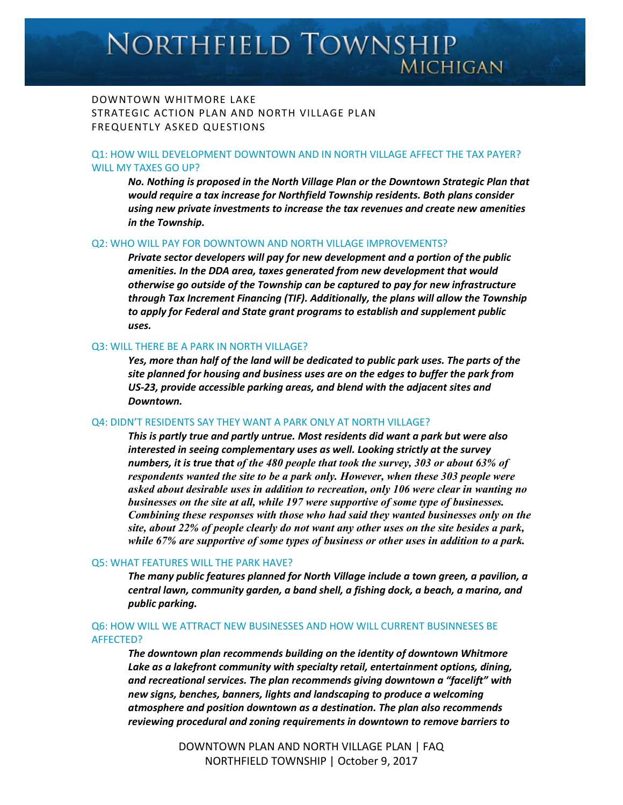# NORTHFIELD TOWNSHIP **MICHIGAN**

# DOWNTOWN WHITMORE LAKE STRATEGIC ACTION PLAN AND NORTH VILLAGE PLAN FREQUENTLY ASKED QUESTIONS

## Q1: HOW WILL DEVELOPMENT DOWNTOWN AND IN NORTH VILLAGE AFFECT THE TAX PAYER? WILL MY TAXES GO UP?

*No. Nothing is proposed in the North Village Plan or the Downtown Strategic Plan that would require a tax increase for Northfield Township residents. Both plans consider using new private investments to increase the tax revenues and create new amenities in the Township.*

## Q2: WHO WILL PAY FOR DOWNTOWN AND NORTH VILLAGE IMPROVEMENTS?

*Private sector developers will pay for new development and a portion of the public amenities. In the DDA area, taxes generated from new development that would otherwise go outside of the Township can be captured to pay for new infrastructure through Tax Increment Financing (TIF). Additionally, the plans will allow the Township to apply for Federal and State grant programs to establish and supplement public uses.*

### Q3: WILL THERE BE A PARK IN NORTH VILLAGE?

*Yes, more than half of the land will be dedicated to public park uses. The parts of the site planned for housing and business uses are on the edges to buffer the park from US-23, provide accessible parking areas, and blend with the adjacent sites and Downtown.*

#### Q4: DIDN'T RESIDENTS SAY THEY WANT A PARK ONLY AT NORTH VILLAGE?

*This is partly true and partly untrue. Most residents did want a park but were also interested in seeing complementary uses as well. Looking strictly at the survey numbers, it is true that of the 480 people that took the survey, 303 or about 63% of respondents wanted the site to be a park only. However, when these 303 people were asked about desirable uses in addition to recreation, only 106 were clear in wanting no businesses on the site at all, while 197 were supportive of some type of businesses. Combining these responses with those who had said they wanted businesses only on the site, about 22% of people clearly do not want any other uses on the site besides a park, while 67% are supportive of some types of business or other uses in addition to a park.* 

## Q5: WHAT FEATURES WILL THE PARK HAVE?

*The many public features planned for North Village include a town green, a pavilion, a central lawn, community garden, a band shell, a fishing dock, a beach, a marina, and public parking.*

# Q6: HOW WILL WE ATTRACT NEW BUSINESSES AND HOW WILL CURRENT BUSINNESES BE AFFECTED?

*The downtown plan recommends building on the identity of downtown Whitmore Lake as a lakefront community with specialty retail, entertainment options, dining, and recreational services. The plan recommends giving downtown a "facelift" with new signs, benches, banners, lights and landscaping to produce a welcoming atmosphere and position downtown as a destination. The plan also recommends reviewing procedural and zoning requirements in downtown to remove barriers to* 

> DOWNTOWN PLAN AND NORTH VILLAGE PLAN | FAQ NORTHFIELD TOWNSHIP | October 9, 2017